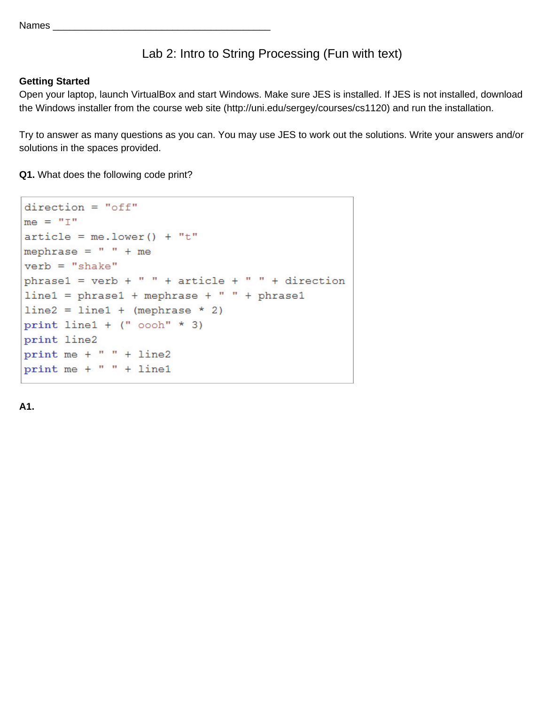## Lab 2: Intro to String Processing (Fun with text)

## **Getting Started**

Open your laptop, launch VirtualBox and start Windows. Make sure JES is installed. If JES is not installed, download the Windows installer from the course web site (http://uni.edu/sergey/courses/cs1120) and run the installation.

Try to answer as many questions as you can. You may use JES to work out the solutions. Write your answers and/or solutions in the spaces provided.

**Q1.** What does the following code print?

```
direction = "off"me = "I"article = me.lower() + "t"mephrase = " " + meverb = "shake"phrase1 = verb + " " + article + " " + directionline1 = phrase1 + mephrase + " " + phrase1line 2 = line1 + (mephrase * 2)print line1 + (" oooh" * 3)
print line2
print me + " " + line2
print me + " " + line1
```
**A1.**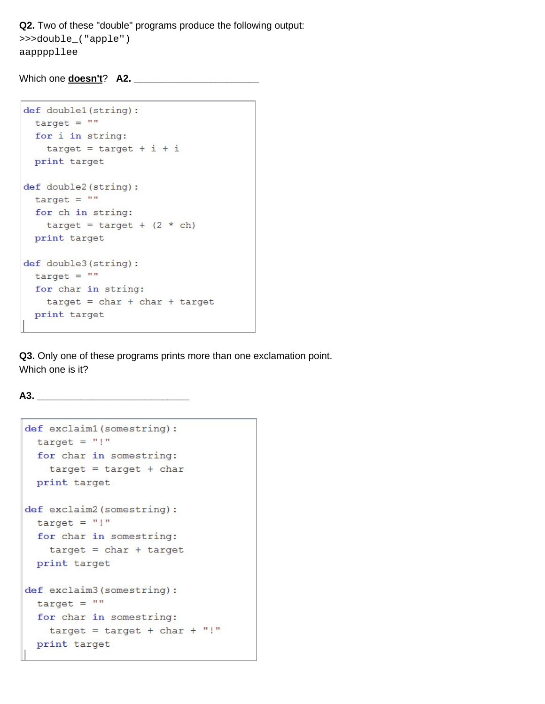Q2. Two of these "double" programs produce the following output: >>>double\_("apple") aappppllee

Which one **doesn't**? A2.

```
def double1(string):
 target = ""for i in string:
   target = target + i + iprint target
def double2(string):
 target = ""for ch in string:
   target = target + (2 * ch)print target
def double3(string):
 target = ""for char in string:
  target = char + char + targetprint target
```
Q3. Only one of these programs prints more than one exclamation point. Which one is it?

 $A3.$ 

```
def exclaim1(somestring):
 target = "!"
 for char in somestring:
   target = target + charprint target
def exclaim2 (somestring) :
 target = "!"for char in somestring:
   target = char + targetprint target
def exclaim3 (somestring) :
 target = ""for char in somestring:
   target = target + char + "!"
 print target
```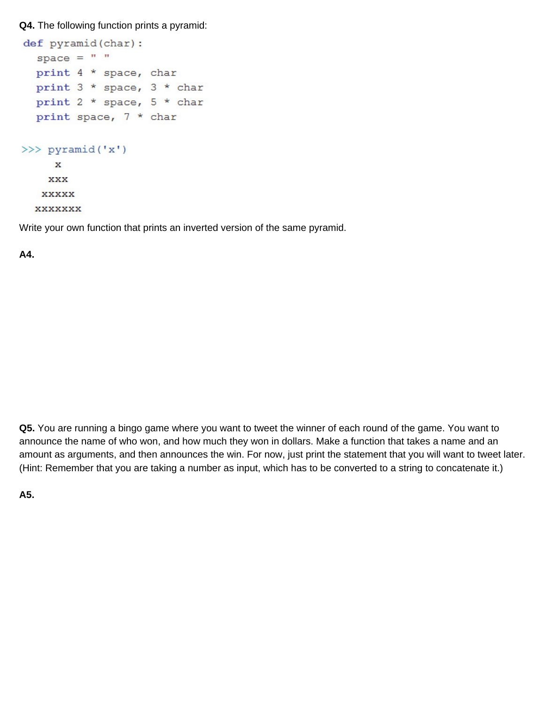**Q4.** The following function prints a pyramid:

```
def pyramid(char):
  space = " "print 4 * space, char
  print 3 * space, 3 * char
  print 2 * space, 5 * char
  print space, 7 * char
>>> pyramid('x')
     \mathbf{x}XXX
   XXXXX
  XXXXXXX
```
Write your own function that prints an inverted version of the same pyramid.

**A4.**

**Q5.** You are running a bingo game where you want to tweet the winner of each round of the game. You want to announce the name of who won, and how much they won in dollars. Make a function that takes a name and an amount as arguments, and then announces the win. For now, just print the statement that you will want to tweet later. (Hint: Remember that you are taking a number as input, which has to be converted to a string to concatenate it.)

**A5.**